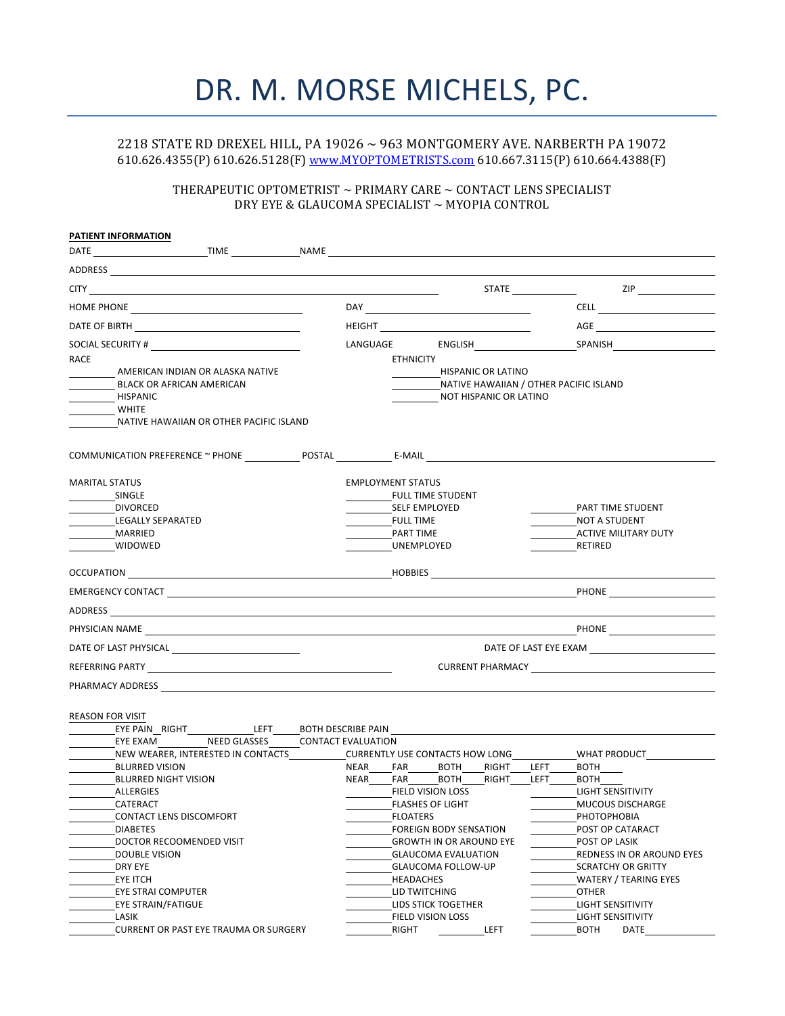# DR. M. MORSE MICHELS, PC.

## 2218 STATE RD DREXEL HILL, PA 19026  $\sim$  963 MONTGOMERY AVE. NARBERTH PA 19072 610.626.4355(P) 610.626.5128(F) www.MYOPTOMETRISTS.com 610.667.3115(P) 610.664.4388(F)

### THERAPEUTIC OPTOMETRIST  $\sim$  PRIMARY CARE  $\sim$  CONTACT LENS SPECIALIST DRY EYE & GLAUCOMA SPECIALIST  $\sim$  MYOPIA CONTROL

| PATIENT INFORMATION                                                                                                                                                                                                                  |  |                                                          |                                                                                          |                          |                                              |                                          |                                                                              |  |  |
|--------------------------------------------------------------------------------------------------------------------------------------------------------------------------------------------------------------------------------------|--|----------------------------------------------------------|------------------------------------------------------------------------------------------|--------------------------|----------------------------------------------|------------------------------------------|------------------------------------------------------------------------------|--|--|
| DATE TIME NAME NAME                                                                                                                                                                                                                  |  |                                                          |                                                                                          |                          |                                              |                                          |                                                                              |  |  |
| ADDRESS <u>and the contract of the contract of the contract of the contract of the contract of the contract of the contract of the contract of the contract of the contract of the contract of the contract of the contract of t</u> |  |                                                          |                                                                                          |                          |                                              |                                          |                                                                              |  |  |
|                                                                                                                                                                                                                                      |  |                                                          |                                                                                          |                          |                                              |                                          | STATE ZIP                                                                    |  |  |
|                                                                                                                                                                                                                                      |  |                                                          |                                                                                          |                          |                                              |                                          |                                                                              |  |  |
| DATE OF BIRTH <b>Example 20</b>                                                                                                                                                                                                      |  |                                                          |                                                                                          |                          | <b>HEIGHT Example 2008</b>                   |                                          | AGE <b>AGE</b>                                                               |  |  |
| SOCIAL SECURITY #                                                                                                                                                                                                                    |  |                                                          |                                                                                          |                          |                                              |                                          |                                                                              |  |  |
| RACE<br>AMERICAN INDIAN OR ALASKA NATIVE<br><b>BLACK OR AFRICAN AMERICAN</b><br><b>HISPANIC</b><br><b>WHITE</b><br>NATIVE HAWAIIAN OR OTHER PACIFIC ISLAND                                                                           |  |                                                          | <b>ETHNICITY</b>                                                                         |                          | HISPANIC OR LATINO<br>NOT HISPANIC OR LATINO |                                          | NATIVE HAWAIIAN / OTHER PACIFIC ISLAND                                       |  |  |
| COMMUNICATION PREFERENCE ~ PHONE _____________ POSTAL ______________ E-MAIL ________________________                                                                                                                                 |  |                                                          |                                                                                          |                          |                                              |                                          |                                                                              |  |  |
| <b>MARITAL STATUS</b><br>SINGLE<br><b>DIVORCED</b><br>LEGALLY SEPARATED<br>MARRIED<br>WIDOWED                                                                                                                                        |  |                                                          | <b>EMPLOYMENT STATUS</b><br>SELF EMPLOYED<br><b>FULL TIME</b><br>PART TIME<br>UNEMPLOYED | <b>FULL TIME STUDENT</b> |                                              |                                          | PART TIME STUDENT<br>NOT A STUDENT<br><b>ACTIVE MILITARY DUTY</b><br>RETIRED |  |  |
| <b>OCCUPATION EXECUPATION EXECUPATION</b>                                                                                                                                                                                            |  |                                                          |                                                                                          |                          |                                              |                                          |                                                                              |  |  |
|                                                                                                                                                                                                                                      |  |                                                          |                                                                                          |                          |                                              |                                          |                                                                              |  |  |
|                                                                                                                                                                                                                                      |  |                                                          |                                                                                          |                          |                                              |                                          |                                                                              |  |  |
|                                                                                                                                                                                                                                      |  |                                                          |                                                                                          |                          |                                              |                                          |                                                                              |  |  |
|                                                                                                                                                                                                                                      |  |                                                          |                                                                                          |                          |                                              |                                          |                                                                              |  |  |
|                                                                                                                                                                                                                                      |  |                                                          |                                                                                          |                          |                                              | <b>CURRENT PHARMACY CURRENT PHARMACY</b> |                                                                              |  |  |
|                                                                                                                                                                                                                                      |  |                                                          |                                                                                          |                          |                                              |                                          |                                                                              |  |  |
| <b>REASON FOR VISIT</b><br>EYE PAIN RIGHT LEFT BOTH DESCRIBE PAIN<br>EYE EXAM NEED GLASSES<br>NEW WEARER, INTERESTED IN CONTACTS                                                                                                     |  | <b>CONTACT EVALUATION</b>                                | <b>CURRENTLY USE CONTACTS HOW LONG</b>                                                   |                          |                                              |                                          | WHAT PRODUCT                                                                 |  |  |
| <b>BLURRED VISION</b>                                                                                                                                                                                                                |  |                                                          | NEAR FAR BOTH                                                                            |                          | RIGHT                                        | LEFT                                     | <b>BOTH</b>                                                                  |  |  |
| <b>BLURRED NIGHT VISION</b>                                                                                                                                                                                                          |  | <b>NEAR</b>                                              | FAR BOTH                                                                                 |                          | RIGHT                                        | <b>LEFT</b>                              | <b>BOTH</b>                                                                  |  |  |
| ALLERGIES                                                                                                                                                                                                                            |  |                                                          | <b>FIELD VISION LOSS</b>                                                                 |                          |                                              |                                          | <b>LIGHT SENSITIVITY</b>                                                     |  |  |
| CATERACT                                                                                                                                                                                                                             |  |                                                          |                                                                                          | <b>FLASHES OF LIGHT</b>  |                                              |                                          | <b>MUCOUS DISCHARGE</b>                                                      |  |  |
| CONTACT LENS DISCOMFORT<br><b>DIABETES</b>                                                                                                                                                                                           |  |                                                          | <b>FLOATERS</b>                                                                          |                          |                                              |                                          | <b>РНОТОРНОВІА</b><br>POST OP CATARACT                                       |  |  |
| DOCTOR RECOOMENDED VISIT                                                                                                                                                                                                             |  | FOREIGN BODY SENSATION<br><b>GROWTH IN OR AROUND EYE</b> |                                                                                          |                          |                                              |                                          | POST OP LASIK                                                                |  |  |
| <b>DOUBLE VISION</b>                                                                                                                                                                                                                 |  |                                                          |                                                                                          |                          |                                              |                                          | REDNESS IN OR AROUND EYES                                                    |  |  |
| DRY EYE                                                                                                                                                                                                                              |  | <b>GLAUCOMA EVALUATION</b><br>GLAUCOMA FOLLOW-UP         |                                                                                          |                          |                                              |                                          | <b>SCRATCHY OR GRITTY</b>                                                    |  |  |
|                                                                                                                                                                                                                                      |  |                                                          |                                                                                          |                          |                                              |                                          |                                                                              |  |  |
| EYE ITCH                                                                                                                                                                                                                             |  |                                                          | HEADACHES<br>LID TWITCHING                                                               |                          |                                              |                                          | WATERY / TEARING EYES<br><b>OTHER</b>                                        |  |  |
| EYE STRAI COMPUTER                                                                                                                                                                                                                   |  |                                                          |                                                                                          |                          |                                              |                                          |                                                                              |  |  |
| EYE STRAIN/FATIGUE                                                                                                                                                                                                                   |  |                                                          |                                                                                          | LIDS STICK TOGETHER      |                                              |                                          | LIGHT SENSITIVITY                                                            |  |  |
| LASIK                                                                                                                                                                                                                                |  |                                                          | FIELD VISION LOSS                                                                        |                          |                                              |                                          | LIGHT SENSITIVITY                                                            |  |  |
| <b>CURRENT OR PAST EYE TRAUMA OR SURGERY</b>                                                                                                                                                                                         |  |                                                          | RIGHT                                                                                    |                          | LEFT                                         |                                          | <b>BOTH</b><br>DATE                                                          |  |  |